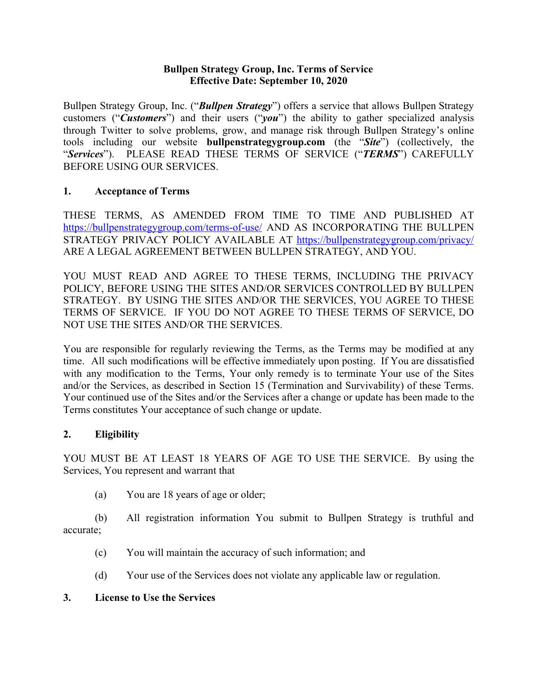#### **Bullpen Strategy Group, Inc. Terms of Service Effective Date: September 10, 2020**

Bullpen Strategy Group, Inc. ("*Bullpen Strategy*") offers a service that allows Bullpen Strategy customers ("*Customers*") and their users ("*you*") the ability to gather specialized analysis through Twitter to solve problems, grow, and manage risk through Bullpen Strategy's online tools including our website **bullpenstrategygroup.com** (the "*Site*") (collectively, the "*Services*"). PLEASE READ THESE TERMS OF SERVICE ("*TERMS*") CAREFULLY BEFORE USING OUR SERVICES.

### **1. Acceptance of Terms**

THESE TERMS, AS AMENDED FROM TIME TO TIME AND PUBLISHED AT <https://bullpenstrategygroup.com/terms-of-use/> AND AS INCORPORATING THE BULLPEN STRATEGY PRIVACY POLICY AVAILABLE AT <https://bullpenstrategygroup.com/privacy/> ARE A LEGAL AGREEMENT BETWEEN BULLPEN STRATEGY, AND YOU.

YOU MUST READ AND AGREE TO THESE TERMS, INCLUDING THE PRIVACY POLICY, BEFORE USING THE SITES AND/OR SERVICES CONTROLLED BY BULLPEN STRATEGY. BY USING THE SITES AND/OR THE SERVICES, YOU AGREE TO THESE TERMS OF SERVICE. IF YOU DO NOT AGREE TO THESE TERMS OF SERVICE, DO NOT USE THE SITES AND/OR THE SERVICES.

You are responsible for regularly reviewing the Terms, as the Terms may be modified at any time. All such modifications will be effective immediately upon posting. If You are dissatisfied with any modification to the Terms, Your only remedy is to terminate Your use of the Sites and/or the Services, as described in Section 15 (Termination and Survivability) of these Terms. Your continued use of the Sites and/or the Services after a change or update has been made to the Terms constitutes Your acceptance of such change or update.

## **2. Eligibility**

YOU MUST BE AT LEAST 18 YEARS OF AGE TO USE THE SERVICE. By using the Services, You represent and warrant that

(a) You are 18 years of age or older;

(b) All registration information You submit to Bullpen Strategy is truthful and accurate;

- (c) You will maintain the accuracy of such information; and
- (d) Your use of the Services does not violate any applicable law or regulation.

#### **3. License to Use the Services**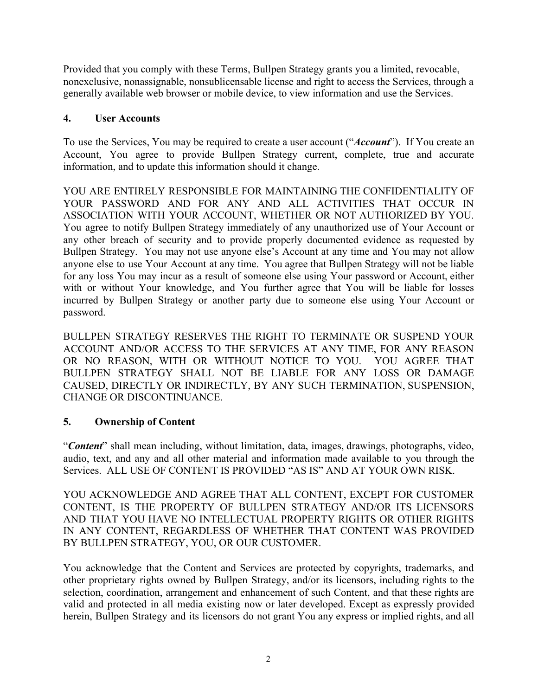Provided that you comply with these Terms, Bullpen Strategy grants you a limited, revocable, nonexclusive, nonassignable, nonsublicensable license and right to access the Services, through a generally available web browser or mobile device, to view information and use the Services.

#### **4. User Accounts**

To use the Services, You may be required to create a user account ("*Account*"). If You create an Account, You agree to provide Bullpen Strategy current, complete, true and accurate information, and to update this information should it change.

YOU ARE ENTIRELY RESPONSIBLE FOR MAINTAINING THE CONFIDENTIALITY OF YOUR PASSWORD AND FOR ANY AND ALL ACTIVITIES THAT OCCUR IN ASSOCIATION WITH YOUR ACCOUNT, WHETHER OR NOT AUTHORIZED BY YOU. You agree to notify Bullpen Strategy immediately of any unauthorized use of Your Account or any other breach of security and to provide properly documented evidence as requested by Bullpen Strategy. You may not use anyone else's Account at any time and You may not allow anyone else to use Your Account at any time. You agree that Bullpen Strategy will not be liable for any loss You may incur as a result of someone else using Your password or Account, either with or without Your knowledge, and You further agree that You will be liable for losses incurred by Bullpen Strategy or another party due to someone else using Your Account or password.

BULLPEN STRATEGY RESERVES THE RIGHT TO TERMINATE OR SUSPEND YOUR ACCOUNT AND/OR ACCESS TO THE SERVICES AT ANY TIME, FOR ANY REASON OR NO REASON, WITH OR WITHOUT NOTICE TO YOU. YOU AGREE THAT BULLPEN STRATEGY SHALL NOT BE LIABLE FOR ANY LOSS OR DAMAGE CAUSED, DIRECTLY OR INDIRECTLY, BY ANY SUCH TERMINATION, SUSPENSION, CHANGE OR DISCONTINUANCE.

## **5. Ownership of Content**

"*Content*" shall mean including, without limitation, data, images, drawings, photographs, video, audio, text, and any and all other material and information made available to you through the Services. ALL USE OF CONTENT IS PROVIDED "AS IS" AND AT YOUR OWN RISK.

YOU ACKNOWLEDGE AND AGREE THAT ALL CONTENT, EXCEPT FOR CUSTOMER CONTENT, IS THE PROPERTY OF BULLPEN STRATEGY AND/OR ITS LICENSORS AND THAT YOU HAVE NO INTELLECTUAL PROPERTY RIGHTS OR OTHER RIGHTS IN ANY CONTENT, REGARDLESS OF WHETHER THAT CONTENT WAS PROVIDED BY BULLPEN STRATEGY, YOU, OR OUR CUSTOMER.

You acknowledge that the Content and Services are protected by copyrights, trademarks, and other proprietary rights owned by Bullpen Strategy, and/or its licensors, including rights to the selection, coordination, arrangement and enhancement of such Content, and that these rights are valid and protected in all media existing now or later developed. Except as expressly provided herein, Bullpen Strategy and its licensors do not grant You any express or implied rights, and all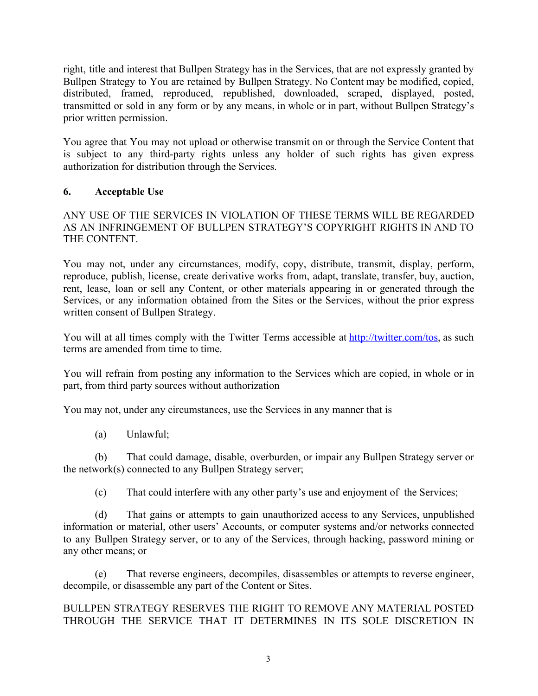right, title and interest that Bullpen Strategy has in the Services, that are not expressly granted by Bullpen Strategy to You are retained by Bullpen Strategy. No Content may be modified, copied, distributed, framed, reproduced, republished, downloaded, scraped, displayed, posted, transmitted or sold in any form or by any means, in whole or in part, without Bullpen Strategy's prior written permission.

You agree that You may not upload or otherwise transmit on or through the Service Content that is subject to any third-party rights unless any holder of such rights has given express authorization for distribution through the Services.

## **6. Acceptable Use**

#### ANY USE OF THE SERVICES IN VIOLATION OF THESE TERMS WILL BE REGARDED AS AN INFRINGEMENT OF BULLPEN STRATEGY'S COPYRIGHT RIGHTS IN AND TO THE CONTENT.

You may not, under any circumstances, modify, copy, distribute, transmit, display, perform, reproduce, publish, license, create derivative works from, adapt, translate, transfer, buy, auction, rent, lease, loan or sell any Content, or other materials appearing in or generated through the Services, or any information obtained from the Sites or the Services, without the prior express written consent of Bullpen Strategy.

You will at all times comply with the Twitter Terms accessible at [http://twitter.com/tos,](http://twitter.com/tos) as such terms are amended from time to time.

You will refrain from posting any information to the Services which are copied, in whole or in part, from third party sources without authorization

You may not, under any circumstances, use the Services in any manner that is

(a) Unlawful;

(b) That could damage, disable, overburden, or impair any Bullpen Strategy server or the network(s) connected to any Bullpen Strategy server;

(c) That could interfere with any other party's use and enjoyment of the Services;

(d) That gains or attempts to gain unauthorized access to any Services, unpublished information or material, other users' Accounts, or computer systems and/or networks connected to any Bullpen Strategy server, or to any of the Services, through hacking, password mining or any other means; or

(e) That reverse engineers, decompiles, disassembles or attempts to reverse engineer, decompile, or disassemble any part of the Content or Sites.

### BULLPEN STRATEGY RESERVES THE RIGHT TO REMOVE ANY MATERIAL POSTED THROUGH THE SERVICE THAT IT DETERMINES IN ITS SOLE DISCRETION IN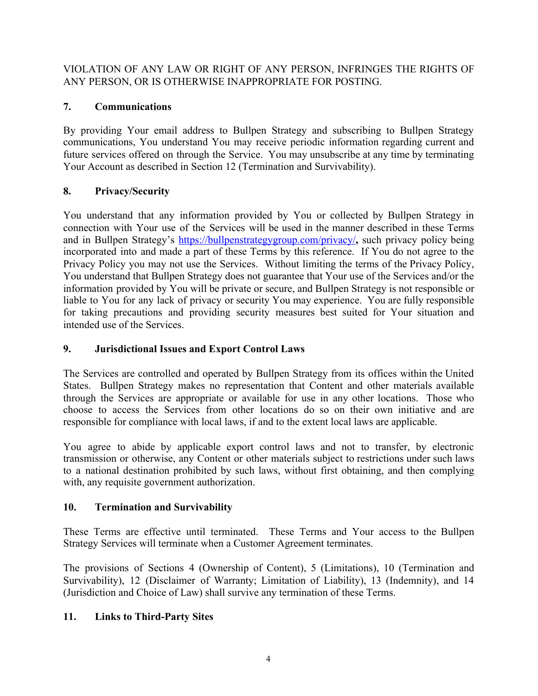VIOLATION OF ANY LAW OR RIGHT OF ANY PERSON, INFRINGES THE RIGHTS OF ANY PERSON, OR IS OTHERWISE INAPPROPRIATE FOR POSTING.

# **7. Communications**

By providing Your email address to Bullpen Strategy and subscribing to Bullpen Strategy communications, You understand You may receive periodic information regarding current and future services offered on through the Service. You may unsubscribe at any time by terminating Your Account as described in Section 12 (Termination and Survivability).

# **8. Privacy/Security**

You understand that any information provided by You or collected by Bullpen Strategy in connection with Your use of the Services will be used in the manner described in these Terms and in Bullpen Strategy's <https://bullpenstrategygroup.com/privacy/>**,** such privacy policy being incorporated into and made a part of these Terms by this reference. If You do not agree to the Privacy Policy you may not use the Services. Without limiting the terms of the Privacy Policy, You understand that Bullpen Strategy does not guarantee that Your use of the Services and/or the information provided by You will be private or secure, and Bullpen Strategy is not responsible or liable to You for any lack of privacy or security You may experience. You are fully responsible for taking precautions and providing security measures best suited for Your situation and intended use of the Services.

## **9. Jurisdictional Issues and Export Control Laws**

The Services are controlled and operated by Bullpen Strategy from its offices within the United States. Bullpen Strategy makes no representation that Content and other materials available through the Services are appropriate or available for use in any other locations. Those who choose to access the Services from other locations do so on their own initiative and are responsible for compliance with local laws, if and to the extent local laws are applicable.

You agree to abide by applicable export control laws and not to transfer, by electronic transmission or otherwise, any Content or other materials subject to restrictions under such laws to a national destination prohibited by such laws, without first obtaining, and then complying with, any requisite government authorization.

# **10. Termination and Survivability**

These Terms are effective until terminated. These Terms and Your access to the Bullpen Strategy Services will terminate when a Customer Agreement terminates.

The provisions of Sections 4 (Ownership of Content), 5 (Limitations), 10 (Termination and Survivability), 12 (Disclaimer of Warranty; Limitation of Liability), 13 (Indemnity), and 14 (Jurisdiction and Choice of Law) shall survive any termination of these Terms.

# **11. Links to Third-Party Sites**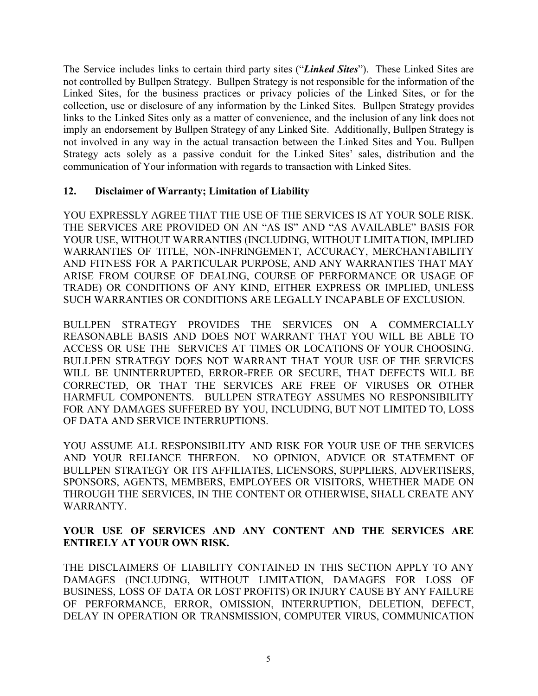The Service includes links to certain third party sites ("*Linked Sites*"). These Linked Sites are not controlled by Bullpen Strategy. Bullpen Strategy is not responsible for the information of the Linked Sites, for the business practices or privacy policies of the Linked Sites, or for the collection, use or disclosure of any information by the Linked Sites. Bullpen Strategy provides links to the Linked Sites only as a matter of convenience, and the inclusion of any link does not imply an endorsement by Bullpen Strategy of any Linked Site. Additionally, Bullpen Strategy is not involved in any way in the actual transaction between the Linked Sites and You. Bullpen Strategy acts solely as a passive conduit for the Linked Sites' sales, distribution and the communication of Your information with regards to transaction with Linked Sites.

#### **12. Disclaimer of Warranty; Limitation of Liability**

YOU EXPRESSLY AGREE THAT THE USE OF THE SERVICES IS AT YOUR SOLE RISK. THE SERVICES ARE PROVIDED ON AN "AS IS" AND "AS AVAILABLE" BASIS FOR YOUR USE, WITHOUT WARRANTIES (INCLUDING, WITHOUT LIMITATION, IMPLIED WARRANTIES OF TITLE, NON-INFRINGEMENT, ACCURACY, MERCHANTABILITY AND FITNESS FOR A PARTICULAR PURPOSE, AND ANY WARRANTIES THAT MAY ARISE FROM COURSE OF DEALING, COURSE OF PERFORMANCE OR USAGE OF TRADE) OR CONDITIONS OF ANY KIND, EITHER EXPRESS OR IMPLIED, UNLESS SUCH WARRANTIES OR CONDITIONS ARE LEGALLY INCAPABLE OF EXCLUSION.

BULLPEN STRATEGY PROVIDES THE SERVICES ON A COMMERCIALLY REASONABLE BASIS AND DOES NOT WARRANT THAT YOU WILL BE ABLE TO ACCESS OR USE THE SERVICES AT TIMES OR LOCATIONS OF YOUR CHOOSING. BULLPEN STRATEGY DOES NOT WARRANT THAT YOUR USE OF THE SERVICES WILL BE UNINTERRUPTED, ERROR-FREE OR SECURE, THAT DEFECTS WILL BE CORRECTED, OR THAT THE SERVICES ARE FREE OF VIRUSES OR OTHER HARMFUL COMPONENTS. BULLPEN STRATEGY ASSUMES NO RESPONSIBILITY FOR ANY DAMAGES SUFFERED BY YOU, INCLUDING, BUT NOT LIMITED TO, LOSS OF DATA AND SERVICE INTERRUPTIONS.

YOU ASSUME ALL RESPONSIBILITY AND RISK FOR YOUR USE OF THE SERVICES AND YOUR RELIANCE THEREON. NO OPINION, ADVICE OR STATEMENT OF BULLPEN STRATEGY OR ITS AFFILIATES, LICENSORS, SUPPLIERS, ADVERTISERS, SPONSORS, AGENTS, MEMBERS, EMPLOYEES OR VISITORS, WHETHER MADE ON THROUGH THE SERVICES, IN THE CONTENT OR OTHERWISE, SHALL CREATE ANY WARRANTY.

#### **YOUR USE OF SERVICES AND ANY CONTENT AND THE SERVICES ARE ENTIRELY AT YOUR OWN RISK.**

THE DISCLAIMERS OF LIABILITY CONTAINED IN THIS SECTION APPLY TO ANY DAMAGES (INCLUDING, WITHOUT LIMITATION, DAMAGES FOR LOSS OF BUSINESS, LOSS OF DATA OR LOST PROFITS) OR INJURY CAUSE BY ANY FAILURE OF PERFORMANCE, ERROR, OMISSION, INTERRUPTION, DELETION, DEFECT, DELAY IN OPERATION OR TRANSMISSION, COMPUTER VIRUS, COMMUNICATION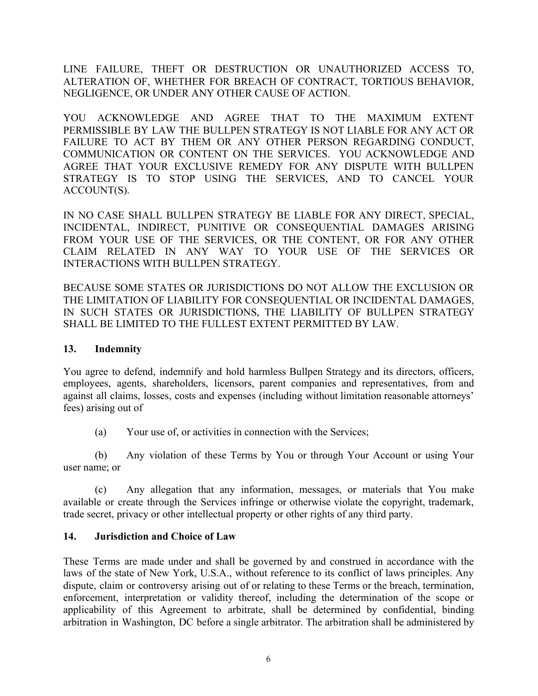LINE FAILURE, THEFT OR DESTRUCTION OR UNAUTHORIZED ACCESS TO, ALTERATION OF, WHETHER FOR BREACH OF CONTRACT, TORTIOUS BEHAVIOR, NEGLIGENCE, OR UNDER ANY OTHER CAUSE OF ACTION.

YOU ACKNOWLEDGE AND AGREE THAT TO THE MAXIMUM EXTENT PERMISSIBLE BY LAW THE BULLPEN STRATEGY IS NOT LIABLE FOR ANY ACT OR FAILURE TO ACT BY THEM OR ANY OTHER PERSON REGARDING CONDUCT, COMMUNICATION OR CONTENT ON THE SERVICES. YOU ACKNOWLEDGE AND AGREE THAT YOUR EXCLUSIVE REMEDY FOR ANY DISPUTE WITH BULLPEN STRATEGY IS TO STOP USING THE SERVICES, AND TO CANCEL YOUR ACCOUNT(S).

IN NO CASE SHALL BULLPEN STRATEGY BE LIABLE FOR ANY DIRECT, SPECIAL, INCIDENTAL, INDIRECT, PUNITIVE OR CONSEQUENTIAL DAMAGES ARISING FROM YOUR USE OF THE SERVICES, OR THE CONTENT, OR FOR ANY OTHER CLAIM RELATED IN ANY WAY TO YOUR USE OF THE SERVICES OR INTERACTIONS WITH BULLPEN STRATEGY.

BECAUSE SOME STATES OR JURISDICTIONS DO NOT ALLOW THE EXCLUSION OR THE LIMITATION OF LIABILITY FOR CONSEQUENTIAL OR INCIDENTAL DAMAGES, IN SUCH STATES OR JURISDICTIONS, THE LIABILITY OF BULLPEN STRATEGY SHALL BE LIMITED TO THE FULLEST EXTENT PERMITTED BY LAW.

#### **13. Indemnity**

You agree to defend, indemnify and hold harmless Bullpen Strategy and its directors, officers, employees, agents, shareholders, licensors, parent companies and representatives, from and against all claims, losses, costs and expenses (including without limitation reasonable attorneys' fees) arising out of

(a) Your use of, or activities in connection with the Services;

(b) Any violation of these Terms by You or through Your Account or using Your user name; or

(c) Any allegation that any information, messages, or materials that You make available or create through the Services infringe or otherwise violate the copyright, trademark, trade secret, privacy or other intellectual property or other rights of any third party.

## **14. Jurisdiction and Choice of Law**

These Terms are made under and shall be governed by and construed in accordance with the laws of the state of New York, U.S.A., without reference to its conflict of laws principles. Any dispute, claim or controversy arising out of or relating to these Terms or the breach, termination, enforcement, interpretation or validity thereof, including the determination of the scope or applicability of this Agreement to arbitrate, shall be determined by confidential, binding arbitration in Washington, DC before a single arbitrator. The arbitration shall be administered by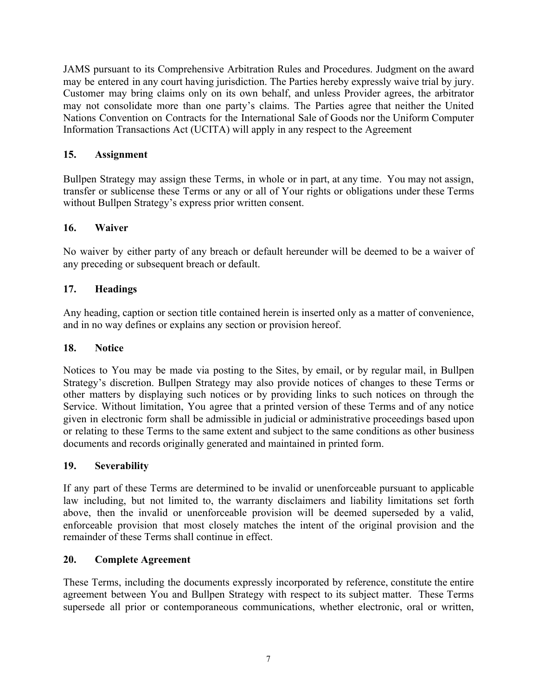JAMS pursuant to its Comprehensive Arbitration Rules and Procedures. Judgment on the award may be entered in any court having jurisdiction. The Parties hereby expressly waive trial by jury. Customer may bring claims only on its own behalf, and unless Provider agrees, the arbitrator may not consolidate more than one party's claims. The Parties agree that neither the United Nations Convention on Contracts for the International Sale of Goods nor the Uniform Computer Information Transactions Act (UCITA) will apply in any respect to the Agreement

#### **15. Assignment**

Bullpen Strategy may assign these Terms, in whole or in part, at any time. You may not assign, transfer or sublicense these Terms or any or all of Your rights or obligations under these Terms without Bullpen Strategy's express prior written consent.

### **16. Waiver**

No waiver by either party of any breach or default hereunder will be deemed to be a waiver of any preceding or subsequent breach or default.

### **17. Headings**

Any heading, caption or section title contained herein is inserted only as a matter of convenience, and in no way defines or explains any section or provision hereof.

#### **18. Notice**

Notices to You may be made via posting to the Sites, by email, or by regular mail, in Bullpen Strategy's discretion. Bullpen Strategy may also provide notices of changes to these Terms or other matters by displaying such notices or by providing links to such notices on through the Service. Without limitation, You agree that a printed version of these Terms and of any notice given in electronic form shall be admissible in judicial or administrative proceedings based upon or relating to these Terms to the same extent and subject to the same conditions as other business documents and records originally generated and maintained in printed form.

#### **19. Severability**

If any part of these Terms are determined to be invalid or unenforceable pursuant to applicable law including, but not limited to, the warranty disclaimers and liability limitations set forth above, then the invalid or unenforceable provision will be deemed superseded by a valid, enforceable provision that most closely matches the intent of the original provision and the remainder of these Terms shall continue in effect.

#### **20. Complete Agreement**

These Terms, including the documents expressly incorporated by reference, constitute the entire agreement between You and Bullpen Strategy with respect to its subject matter. These Terms supersede all prior or contemporaneous communications, whether electronic, oral or written,